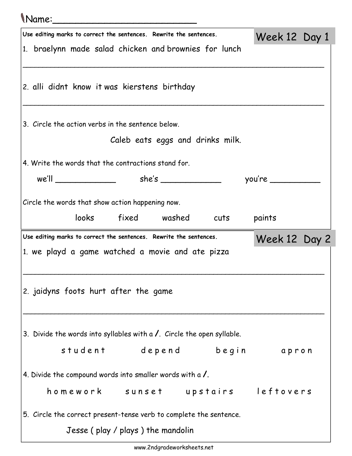## Name:\_\_\_\_\_\_\_\_\_\_\_\_\_\_\_\_\_\_\_\_\_\_\_\_\_

| Use editing marks to correct the sentences. Rewrite the sentences.             | Week 12 Day 1 |  |
|--------------------------------------------------------------------------------|---------------|--|
| 1. braelynn made salad chicken and brownies for lunch                          |               |  |
|                                                                                |               |  |
|                                                                                |               |  |
| 2. alli didnt know it was kierstens birthday                                   |               |  |
|                                                                                |               |  |
| 3. Circle the action verbs in the sentence below.                              |               |  |
| Caleb eats eggs and drinks milk.                                               |               |  |
|                                                                                |               |  |
| 4. Write the words that the contractions stand for.                            |               |  |
|                                                                                |               |  |
|                                                                                |               |  |
| Circle the words that show action happening now.                               |               |  |
| looks fixed washed cuts                                                        | paints        |  |
|                                                                                |               |  |
| Use editing marks to correct the sentences. Rewrite the sentences.             |               |  |
|                                                                                | Week 12 Day 2 |  |
| 1. we playd a game watched a movie and ate pizza                               |               |  |
|                                                                                |               |  |
|                                                                                |               |  |
| 2. jaidyns foots hurt after the game                                           |               |  |
|                                                                                |               |  |
|                                                                                |               |  |
| 3. Divide the words into syllables with a $\prime$ . Circle the open syllable. |               |  |
| student depend begin apron                                                     |               |  |
|                                                                                |               |  |
| 4. Divide the compound words into smaller words with a $\lambda$ .             |               |  |
| homework sunset upstairs leftovers                                             |               |  |
| 5. Circle the correct present-tense verb to complete the sentence.             |               |  |
| Jesse (play / plays) the mandolin                                              |               |  |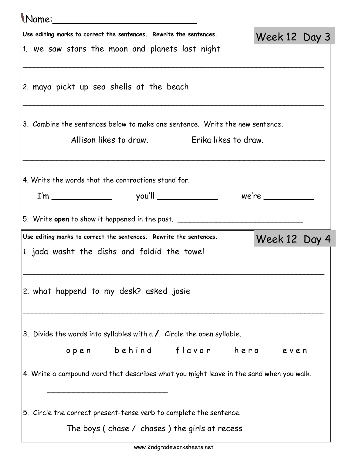## Name:\_\_\_\_\_\_\_\_\_\_\_\_\_\_\_\_\_\_\_\_\_\_\_\_\_ Use editing marks to correct the sentences. Rewrite the sentences. 1. we saw stars the moon and planets last night \_\_\_\_\_\_\_\_\_\_\_\_\_\_\_\_\_\_\_\_\_\_\_\_\_\_\_\_\_\_\_\_\_\_\_\_\_\_\_\_\_\_\_\_\_\_\_\_\_\_\_\_\_\_\_\_\_\_\_\_\_\_\_\_\_\_\_\_\_\_\_\_\_\_\_\_ 2. maya pickt up sea shells at the beach \_\_\_\_\_\_\_\_\_\_\_\_\_\_\_\_\_\_\_\_\_\_\_\_\_\_\_\_\_\_\_\_\_\_\_\_\_\_\_\_\_\_\_\_\_\_\_\_\_\_\_\_\_\_\_\_\_\_\_\_\_\_\_\_\_\_\_\_\_\_\_\_\_\_\_\_ 3. Combine the sentences below to make one sentence. Write the new sentence. Allison likes to draw. Erika likes to draw. \_\_\_\_\_\_\_\_\_\_\_\_\_\_\_\_\_\_\_\_\_\_\_\_\_\_\_\_\_\_\_\_\_\_\_\_\_\_\_\_\_\_\_\_\_\_\_\_\_\_\_\_\_\_\_\_\_\_\_\_ 4. Write the words that the contractions stand for.

 $I'm$  you'll we're z

5. Write open to show it happened in the past.

Use editing marks to correct the sentences. Rewrite the sentences.

1. jada washt the dishs and foldid the towel

2. what happend to my desk? asked josie

 $\overline{\phantom{a}}$  , which is a substitution of the state of the state of the state of the state of the state of the state of the state of the state of the state of the state of the state of the state of the state of the state o

3. Divide the words into syllables with  $a$  /. Circle the open syllable.

open behind flavor hero even

Week 12 Day 3

Week 12 Day 4

4. Write a compound word that describes what you might leave in the sand when you walk.

\_\_\_\_\_\_\_\_\_\_\_\_\_\_\_\_\_\_\_\_\_\_\_\_\_\_\_\_\_\_\_\_\_\_\_\_\_\_\_\_\_\_\_\_\_\_\_\_\_\_\_\_\_\_\_\_\_\_\_\_\_\_\_\_\_\_\_\_\_\_\_\_\_\_\_\_

\_\_\_\_\_\_\_\_\_\_\_\_\_\_\_\_\_\_\_\_\_\_\_\_\_\_\_\_\_\_\_\_\_\_\_\_\_\_\_\_\_\_\_\_\_\_\_\_\_\_\_\_\_\_\_\_\_\_\_\_\_\_\_\_\_\_\_\_\_\_\_\_\_\_\_\_

5. Circle the correct present-tense verb to complete the sentence.

The boys ( chase / chases ) the girls at recess